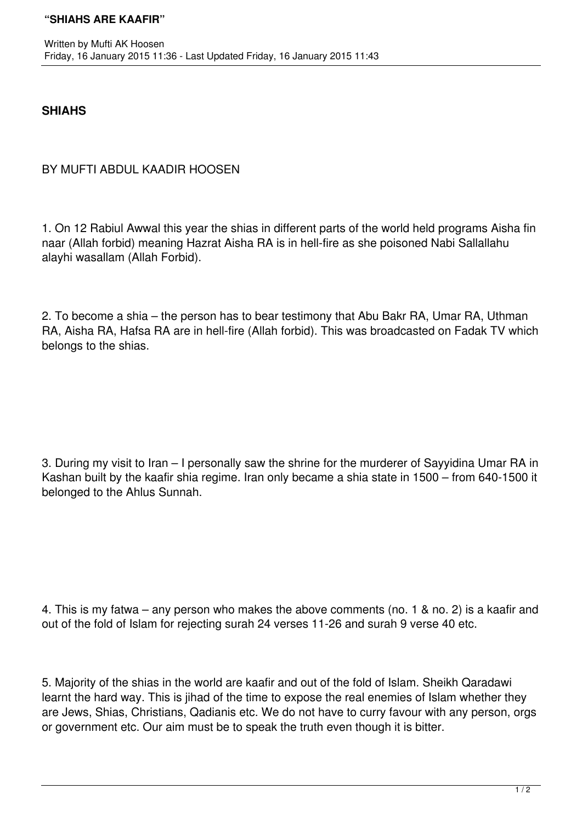## **SHIAHS**

## BY MUFTI ABDUL KAADIR HOOSEN

1. On 12 Rabiul Awwal this year the shias in different parts of the world held programs Aisha fin naar (Allah forbid) meaning Hazrat Aisha RA is in hell-fire as she poisoned Nabi Sallallahu alayhi wasallam (Allah Forbid).

2. To become a shia – the person has to bear testimony that Abu Bakr RA, Umar RA, Uthman RA, Aisha RA, Hafsa RA are in hell-fire (Allah forbid). This was broadcasted on Fadak TV which belongs to the shias.

3. During my visit to Iran – I personally saw the shrine for the murderer of Sayyidina Umar RA in Kashan built by the kaafir shia regime. Iran only became a shia state in 1500 – from 640-1500 it belonged to the Ahlus Sunnah.

4. This is my fatwa – any person who makes the above comments (no. 1 & no. 2) is a kaafir and out of the fold of Islam for rejecting surah 24 verses 11-26 and surah 9 verse 40 etc.

5. Majority of the shias in the world are kaafir and out of the fold of Islam. Sheikh Qaradawi learnt the hard way. This is jihad of the time to expose the real enemies of Islam whether they are Jews, Shias, Christians, Qadianis etc. We do not have to curry favour with any person, orgs or government etc. Our aim must be to speak the truth even though it is bitter.